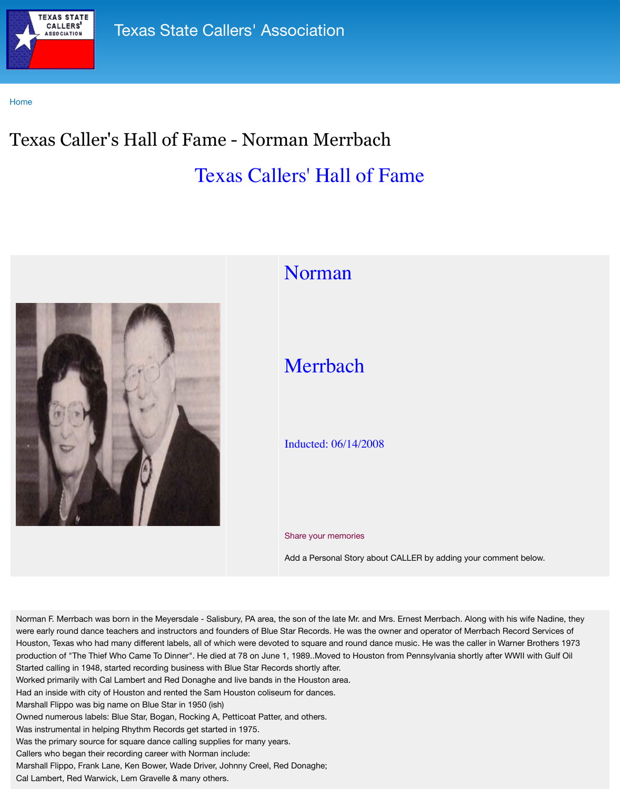

## 1 Commun

## Merrbach

## Inducted: 06/14/2008

## Share your memories

Add a Personal Story about C

Norman F. Merrbach was born in the Meyersdale - Salisbury, PA area, the son of the late Mr. and Mrs. were early round dance teachers and instructors and founders of Blue Star Records. He was the own Houston, Texas who had many different labels, all of which were devoted to square and round dance production of "The Thief Who Came To Dinner". He died at 78 on June 1, 1989. Moved to Houston from Started calling in 1948, started recording business with Blue Star Records shortly after. Worked primarily with Cal Lambert and Red Donaghe and live bands in the Houston area. Had an inside with city of Houston and rented the Sam Houston coliseum for dances. Marshall Flippo was big name on Blue Star in 1950 (ish) Owned numerous labels: Blue Star, Bogan, Rocking A, Petticoat Patter, and others. Was instrumental in helping Rhythm Records get started in 1975. Was the primary source for square dance calling supplies for many years. Callers who began their recording career with Norman include: Marshall Flippo, Frank Lane, Ken Bower, Wade Driver, Johnny Creel, Red Donaghe; Cal Lambert, Red Warwick, Lem Gravelle & many others.